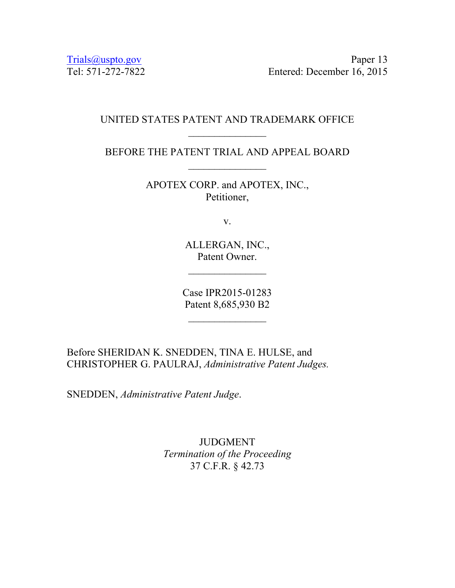Trials@uspto.gov Paper 13 Tel: 571-272-7822 Entered: December 16, 2015

## UNITED STATES PATENT AND TRADEMARK OFFICE  $\frac{1}{2}$

BEFORE THE PATENT TRIAL AND APPEAL BOARD  $\frac{1}{2}$ 

> APOTEX CORP. and APOTEX, INC., Petitioner,

> > v.

ALLERGAN, INC., Patent Owner.

Case IPR2015-01283 Patent 8,685,930 B2

 $\frac{1}{2}$ 

Before SHERIDAN K. SNEDDEN, TINA E. HULSE, and CHRISTOPHER G. PAULRAJ, *Administrative Patent Judges.* 

SNEDDEN, *Administrative Patent Judge*.

JUDGMENT *Termination of the Proceeding*  37 C.F.R. § 42.73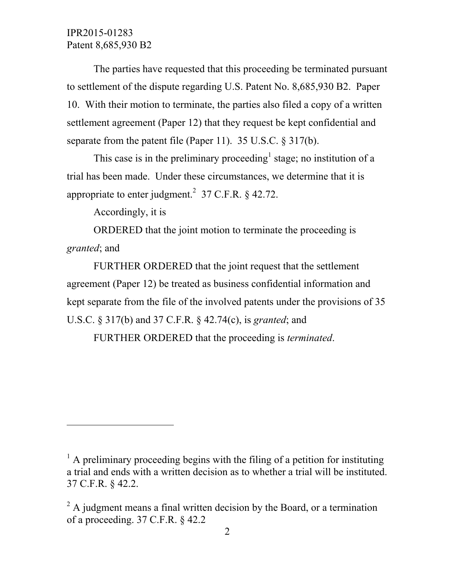IPR2015-01283 Patent 8,685,930 B2

The parties have requested that this proceeding be terminated pursuant to settlement of the dispute regarding U.S. Patent No. 8,685,930 B2. Paper 10. With their motion to terminate, the parties also filed a copy of a written settlement agreement (Paper 12) that they request be kept confidential and separate from the patent file (Paper 11). 35 U.S.C. § 317(b).

This case is in the preliminary proceeding<sup>1</sup> stage; no institution of a trial has been made. Under these circumstances, we determine that it is appropriate to enter judgment.<sup>2</sup> 37 C.F.R.  $\S$  42.72.

Accordingly, it is

 $\overline{a}$ 

ORDERED that the joint motion to terminate the proceeding is *granted*; and

FURTHER ORDERED that the joint request that the settlement agreement (Paper 12) be treated as business confidential information and kept separate from the file of the involved patents under the provisions of 35 U.S.C. § 317(b) and 37 C.F.R. § 42.74(c), is *granted*; and

FURTHER ORDERED that the proceeding is *terminated*.

 $<sup>1</sup>$  A preliminary proceeding begins with the filing of a petition for instituting</sup> a trial and ends with a written decision as to whether a trial will be instituted. 37 C.F.R. § 42.2.

 $2^2$  A judgment means a final written decision by the Board, or a termination of a proceeding. 37 C.F.R. § 42.2